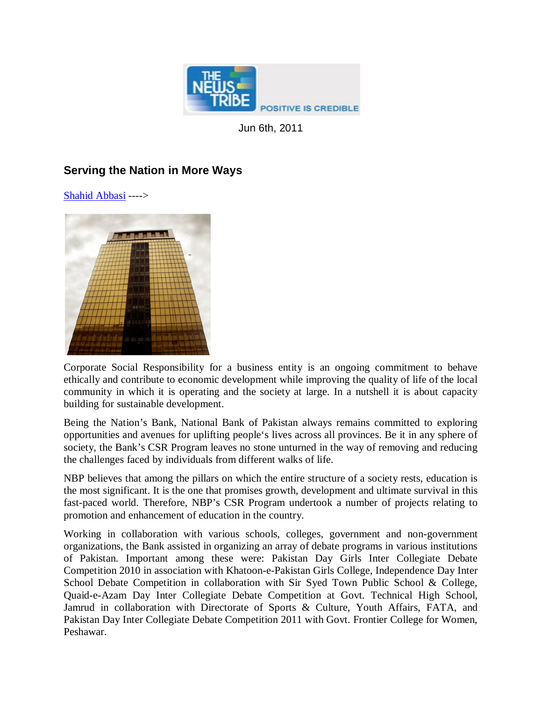

Jun 6th, 2011

## **Serving the Nation in More Ways**

Shahid Abbasi ---->



Corporate Social Responsibility for a business entity is an ongoing commitment to behave ethically and contribute to economic development while improving the quality of life of the local community in which it is operating and the society at large. In a nutshell it is about capacity building for sustainable development.

Being the Nation's Bank, National Bank of Pakistan always remains committed to exploring opportunities and avenues for uplifting people's lives across all provinces. Be it in any sphere of society, the Bank's CSR Program leaves no stone unturned in the way of removing and reducing the challenges faced by individuals from different walks of life.

NBP believes that among the pillars on which the entire structure of a society rests, education is the most significant. It is the one that promises growth, development and ultimate survival in this fast-paced world. Therefore, NBP's CSR Program undertook a number of projects relating to promotion and enhancement of education in the country.

Working in collaboration with various schools, colleges, government and non-government organizations, the Bank assisted in organizing an array of debate programs in various institutions of Pakistan. Important among these were: Pakistan Day Girls Inter Collegiate Debate Competition 2010 in association with Khatoon-e-Pakistan Girls College, Independence Day Inter School Debate Competition in collaboration with Sir Syed Town Public School & College, Quaid-e-Azam Day Inter Collegiate Debate Competition at Govt. Technical High School, Jamrud in collaboration with Directorate of Sports & Culture, Youth Affairs, FATA, and Pakistan Day Inter Collegiate Debate Competition 2011 with Govt. Frontier College for Women, Peshawar.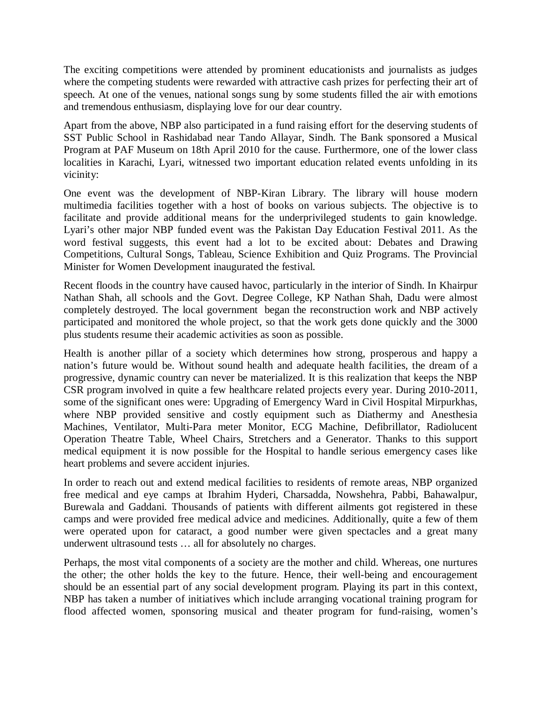The exciting competitions were attended by prominent educationists and journalists as judges where the competing students were rewarded with attractive cash prizes for perfecting their art of speech. At one of the venues, national songs sung by some students filled the air with emotions and tremendous enthusiasm, displaying love for our dear country.

Apart from the above, NBP also participated in a fund raising effort for the deserving students of SST Public School in Rashidabad near Tando Allayar, Sindh. The Bank sponsored a Musical Program at PAF Museum on 18th April 2010 for the cause. Furthermore, one of the lower class localities in Karachi, Lyari, witnessed two important education related events unfolding in its vicinity:

One event was the development of NBP-Kiran Library. The library will house modern multimedia facilities together with a host of books on various subjects. The objective is to facilitate and provide additional means for the underprivileged students to gain knowledge. Lyari's other major NBP funded event was the Pakistan Day Education Festival 2011. As the word festival suggests, this event had a lot to be excited about: Debates and Drawing Competitions, Cultural Songs, Tableau, Science Exhibition and Quiz Programs. The Provincial Minister for Women Development inaugurated the festival.

Recent floods in the country have caused havoc, particularly in the interior of Sindh. In Khairpur Nathan Shah, all schools and the Govt. Degree College, KP Nathan Shah, Dadu were almost completely destroyed. The local government began the reconstruction work and NBP actively participated and monitored the whole project, so that the work gets done quickly and the 3000 plus students resume their academic activities as soon as possible.

Health is another pillar of a society which determines how strong, prosperous and happy a nation's future would be. Without sound health and adequate health facilities, the dream of a progressive, dynamic country can never be materialized. It is this realization that keeps the NBP CSR program involved in quite a few healthcare related projects every year. During 2010-2011, some of the significant ones were: Upgrading of Emergency Ward in Civil Hospital Mirpurkhas, where NBP provided sensitive and costly equipment such as Diathermy and Anesthesia Machines, Ventilator, Multi-Para meter Monitor, ECG Machine, Defibrillator, Radiolucent Operation Theatre Table, Wheel Chairs, Stretchers and a Generator. Thanks to this support medical equipment it is now possible for the Hospital to handle serious emergency cases like heart problems and severe accident injuries.

In order to reach out and extend medical facilities to residents of remote areas, NBP organized free medical and eye camps at Ibrahim Hyderi, Charsadda, Nowshehra, Pabbi, Bahawalpur, Burewala and Gaddani. Thousands of patients with different ailments got registered in these camps and were provided free medical advice and medicines. Additionally, quite a few of them were operated upon for cataract, a good number were given spectacles and a great many underwent ultrasound tests … all for absolutely no charges.

Perhaps, the most vital components of a society are the mother and child. Whereas, one nurtures the other; the other holds the key to the future. Hence, their well-being and encouragement should be an essential part of any social development program. Playing its part in this context, NBP has taken a number of initiatives which include arranging vocational training program for flood affected women, sponsoring musical and theater program for fund-raising, women's